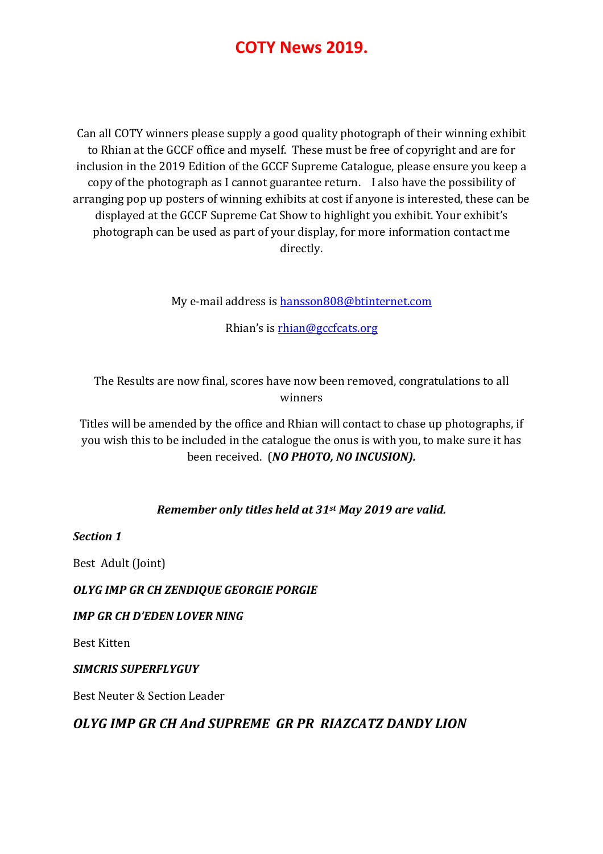Can all COTY winners please supply a good quality photograph of their winning exhibit to Rhian at the GCCF office and myself. These must be free of copyright and are for inclusion in the 2019 Edition of the GCCF Supreme Catalogue, please ensure you keep a copy of the photograph as I cannot guarantee return. I also have the possibility of arranging pop up posters of winning exhibits at cost if anyone is interested, these can be displayed at the GCCF Supreme Cat Show to highlight you exhibit. Your exhibit's photograph can be used as part of your display, for more information contact me directly.

My e-mail address is hansson808@btinternet.com

Rhian's is rhian@gccfcats.org

The Results are now final, scores have now been removed, congratulations to all winners

Titles will be amended by the office and Rhian will contact to chase up photographs, if you wish this to be included in the catalogue the onus is with you, to make sure it has been received. (NO PHOTO, NO INCUSION).

#### Remember only titles held at 31st May 2019 are valid.

Section 1

Best Adult (Joint)

#### OLYG IMP GR CH ZENDIQUE GEORGIE PORGIE

#### IMP GR CH D'EDEN LOVER NING

Best Kitten

#### SIMCRIS SUPERFLYGUY

Best Neuter & Section Leader

## OLYG IMP GR CH And SUPREME GR PR RIAZCATZ DANDY LION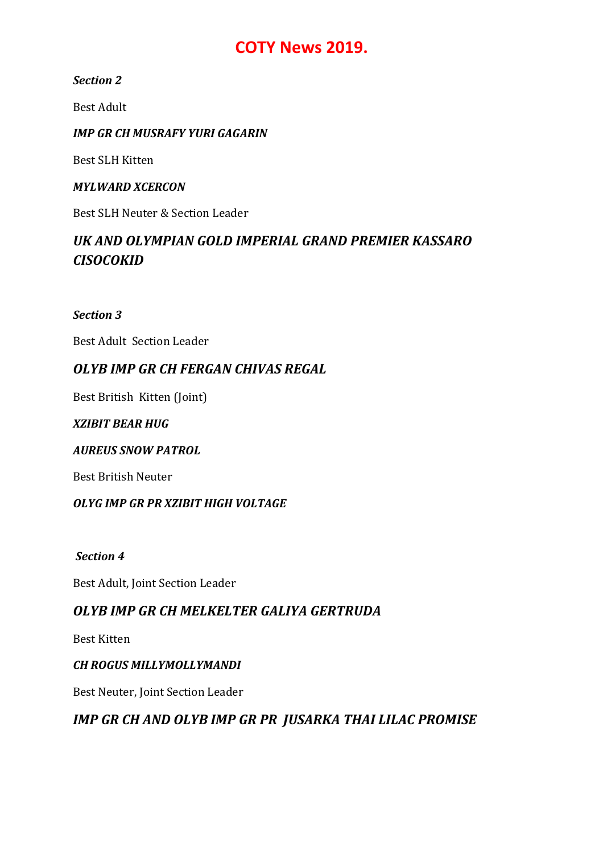#### Section 2

Best Adult

#### IMP GR CH MUSRAFY YURI GAGARIN

Best SLH Kitten

#### MYLWARD XCERCON

Best SLH Neuter & Section Leader

# UK AND OLYMPIAN GOLD IMPERIAL GRAND PREMIER KASSARO **CISOCOKID**

#### Section 3

Best Adult Section Leader

# OLYB IMP GR CH FERGAN CHIVAS REGAL

Best British Kitten (Joint)

#### XZIBIT BEAR HUG

#### AUREUS SNOW PATROL

Best British Neuter

#### OLYG IMP GR PR XZIBIT HIGH VOLTAGE

#### Section 4

Best Adult, Joint Section Leader

## OLYB IMP GR CH MELKELTER GALIYA GERTRUDA

Best Kitten

#### CH ROGUS MILLYMOLLYMANDI

Best Neuter, Joint Section Leader

# IMP GR CH AND OLYB IMP GR PR JUSARKA THAI LILAC PROMISE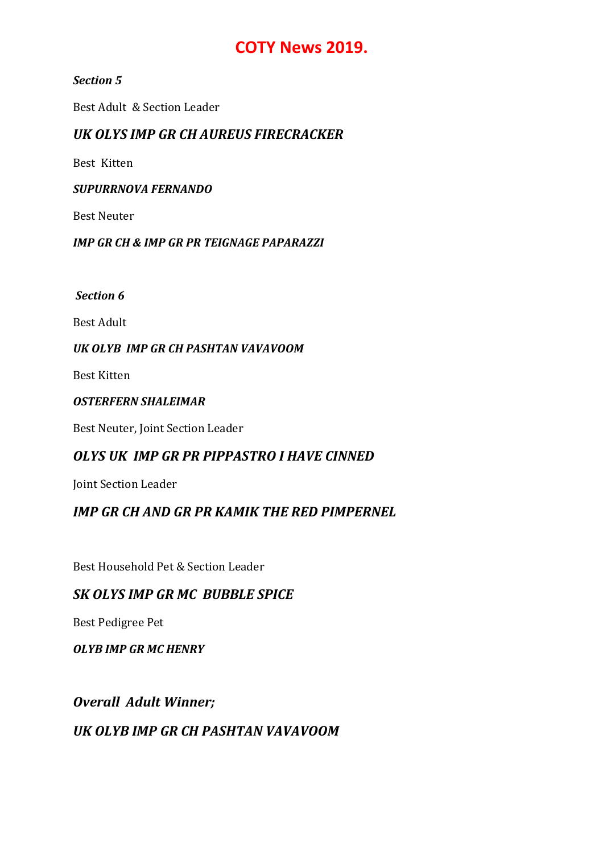#### Section 5

Best Adult & Section Leader

### UK OLYS IMP GR CH AUREUS FIRECRACKER

Best Kitten

#### SUPURRNOVA FERNANDO

Best Neuter

#### IMP GR CH & IMP GR PR TEIGNAGE PAPARAZZI

Section 6

Best Adult

#### UK OLYB IMP GR CH PASHTAN VAVAVOOM

Best Kitten

#### OSTERFERN SHALEIMAR

Best Neuter, Joint Section Leader

## OLYS UK IMP GR PR PIPPASTRO I HAVE CINNED

Joint Section Leader

## IMP GR CH AND GR PR KAMIK THE RED PIMPERNEL

Best Household Pet & Section Leader

## SK OLYS IMP GR MC BUBBLE SPICE

Best Pedigree Pet

OLYB IMP GR MC HENRY

#### Overall Adult Winner;

## UK OLYB IMP GR CH PASHTAN VAVAVOOM